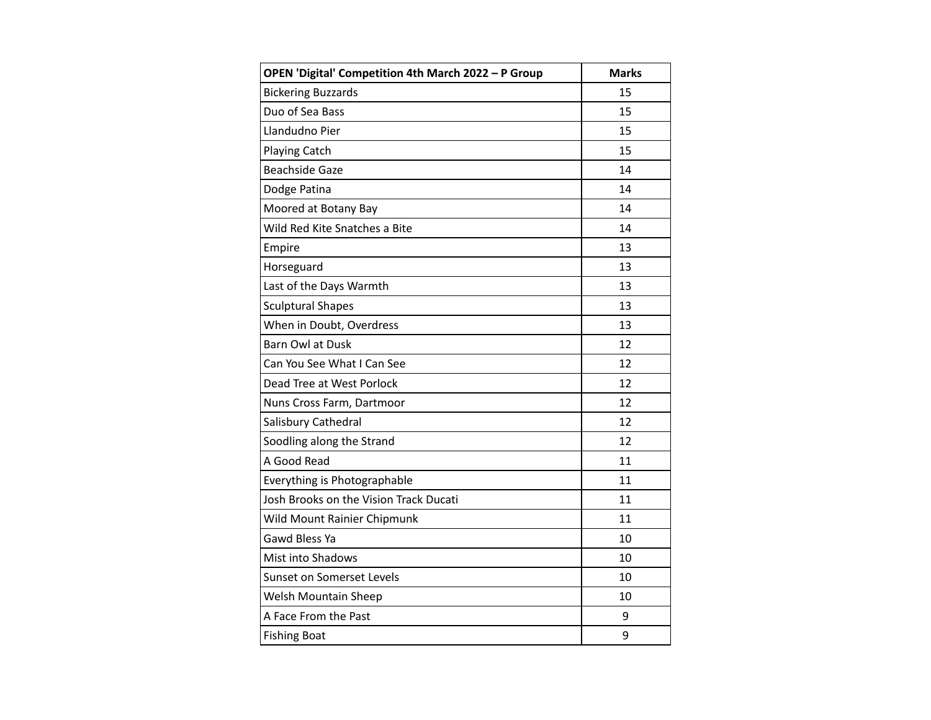| OPEN 'Digital' Competition 4th March 2022 - P Group | <b>Marks</b> |
|-----------------------------------------------------|--------------|
| <b>Bickering Buzzards</b>                           | 15           |
| Duo of Sea Bass                                     | 15           |
| Llandudno Pier                                      | 15           |
| <b>Playing Catch</b>                                | 15           |
| <b>Beachside Gaze</b>                               | 14           |
| Dodge Patina                                        | 14           |
| Moored at Botany Bay                                | 14           |
| Wild Red Kite Snatches a Bite                       | 14           |
| Empire                                              | 13           |
| Horseguard                                          | 13           |
| Last of the Days Warmth                             | 13           |
| <b>Sculptural Shapes</b>                            | 13           |
| When in Doubt, Overdress                            | 13           |
| Barn Owl at Dusk                                    | 12           |
| Can You See What I Can See                          | 12           |
| Dead Tree at West Porlock                           | 12           |
| Nuns Cross Farm, Dartmoor                           | 12           |
| Salisbury Cathedral                                 | 12           |
| Soodling along the Strand                           | 12           |
| A Good Read                                         | 11           |
| Everything is Photographable                        | 11           |
| Josh Brooks on the Vision Track Ducati              | 11           |
| Wild Mount Rainier Chipmunk                         | 11           |
| Gawd Bless Ya                                       | 10           |
| Mist into Shadows                                   | 10           |
| Sunset on Somerset Levels                           | 10           |
| Welsh Mountain Sheep                                | 10           |
| A Face From the Past                                | 9            |
| <b>Fishing Boat</b>                                 | 9            |